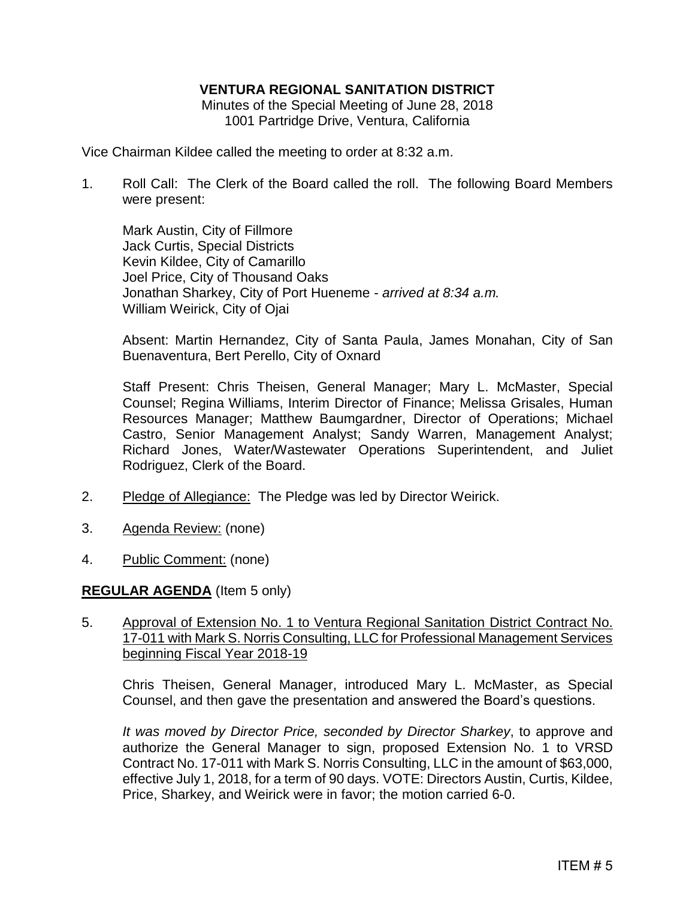## **VENTURA REGIONAL SANITATION DISTRICT**

Minutes of the Special Meeting of June 28, 2018 1001 Partridge Drive, Ventura, California

Vice Chairman Kildee called the meeting to order at 8:32 a.m.

1. Roll Call: The Clerk of the Board called the roll. The following Board Members were present:

Mark Austin, City of Fillmore Jack Curtis, Special Districts Kevin Kildee, City of Camarillo Joel Price, City of Thousand Oaks Jonathan Sharkey, City of Port Hueneme - *arrived at 8:34 a.m.* William Weirick, City of Ojai

Absent: Martin Hernandez, City of Santa Paula, James Monahan, City of San Buenaventura, Bert Perello, City of Oxnard

Staff Present: Chris Theisen, General Manager; Mary L. McMaster, Special Counsel; Regina Williams, Interim Director of Finance; Melissa Grisales, Human Resources Manager; Matthew Baumgardner, Director of Operations; Michael Castro, Senior Management Analyst; Sandy Warren, Management Analyst; Richard Jones, Water/Wastewater Operations Superintendent, and Juliet Rodriguez, Clerk of the Board.

- 2. Pledge of Allegiance: The Pledge was led by Director Weirick.
- 3. Agenda Review: (none)
- 4. Public Comment: (none)

## **REGULAR AGENDA** (Item 5 only)

5. Approval of Extension No. 1 to Ventura Regional Sanitation District Contract No. 17-011 with Mark S. Norris Consulting, LLC for Professional Management Services beginning Fiscal Year 2018-19

Chris Theisen, General Manager, introduced Mary L. McMaster, as Special Counsel, and then gave the presentation and answered the Board's questions.

*It was moved by Director Price, seconded by Director Sharkey*, to approve and authorize the General Manager to sign, proposed Extension No. 1 to VRSD Contract No. 17-011 with Mark S. Norris Consulting, LLC in the amount of \$63,000, effective July 1, 2018, for a term of 90 days. VOTE: Directors Austin, Curtis, Kildee, Price, Sharkey, and Weirick were in favor; the motion carried 6-0.